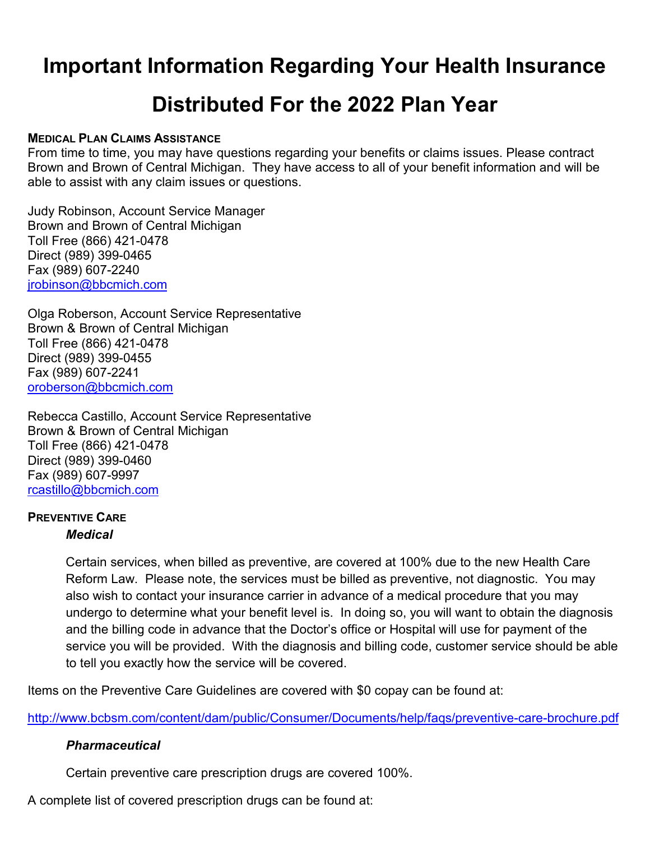# **Important Information Regarding Your Health Insurance**

# **Distributed For the 2022 Plan Year**

#### **MEDICAL PLAN CLAIMS ASSISTANCE**

From time to time, you may have questions regarding your benefits or claims issues. Please contract Brown and Brown of Central Michigan. They have access to all of your benefit information and will be able to assist with any claim issues or questions.

Judy Robinson, Account Service Manager Brown and Brown of Central Michigan Toll Free (866) 421-0478 Direct (989) 399-0465 Fax (989) 607-2240 [jrobinson@bbcmich.com](mailto:jrobinson@bbcmich.com)

Olga Roberson, Account Service Representative Brown & Brown of Central Michigan Toll Free (866) 421-0478 Direct (989) 399-0455 Fax (989) 607-2241 [oroberson@bbcmich.com](mailto:oroberson@bbcmich.com)

Rebecca Castillo, Account Service Representative Brown & Brown of Central Michigan Toll Free (866) 421-0478 Direct (989) 399-0460 Fax (989) 607-9997 [rcastillo@bbcmich.com](mailto:rcastillo@bbcmich.com)

#### **PREVENTIVE CARE** *Medical*

Certain services, when billed as preventive, are covered at 100% due to the new Health Care Reform Law. Please note, the services must be billed as preventive, not diagnostic. You may also wish to contact your insurance carrier in advance of a medical procedure that you may undergo to determine what your benefit level is. In doing so, you will want to obtain the diagnosis and the billing code in advance that the Doctor's office or Hospital will use for payment of the service you will be provided. With the diagnosis and billing code, customer service should be able to tell you exactly how the service will be covered.

Items on the Preventive Care Guidelines are covered with \$0 copay can be found at:

<http://www.bcbsm.com/content/dam/public/Consumer/Documents/help/faqs/preventive-care-brochure.pdf>

### *Pharmaceutical*

Certain preventive care prescription drugs are covered 100%.

A complete list of covered prescription drugs can be found at: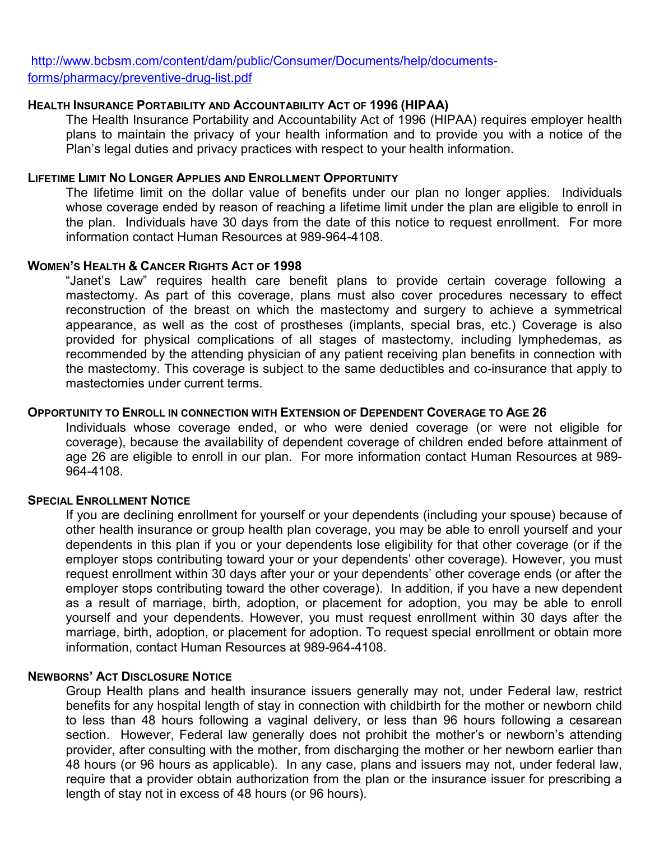[http://www.bcbsm.com/content/dam/public/Consumer/Documents/help/documents](http://www.bcbsm.com/content/dam/public/Consumer/Documents/help/documents-forms/pharmacy/preventive-drug-list.pdf)[forms/pharmacy/preventive-drug-list.pdf](http://www.bcbsm.com/content/dam/public/Consumer/Documents/help/documents-forms/pharmacy/preventive-drug-list.pdf)

#### **HEALTH INSURANCE PORTABILITY AND ACCOUNTABILITY ACT OF 1996 (HIPAA)**

The Health Insurance Portability and Accountability Act of 1996 (HIPAA) requires employer health plans to maintain the privacy of your health information and to provide you with a notice of the Plan's legal duties and privacy practices with respect to your health information.

#### **LIFETIME LIMIT NO LONGER APPLIES AND ENROLLMENT OPPORTUNITY**

The lifetime limit on the dollar value of benefits under our plan no longer applies. Individuals whose coverage ended by reason of reaching a lifetime limit under the plan are eligible to enroll in the plan. Individuals have 30 days from the date of this notice to request enrollment. For more information contact Human Resources at 989-964-4108.

#### **WOMEN'S HEALTH & CANCER RIGHTS ACT OF 1998**

"Janet's Law" requires health care benefit plans to provide certain coverage following a mastectomy. As part of this coverage, plans must also cover procedures necessary to effect reconstruction of the breast on which the mastectomy and surgery to achieve a symmetrical appearance, as well as the cost of prostheses (implants, special bras, etc.) Coverage is also provided for physical complications of all stages of mastectomy, including lymphedemas, as recommended by the attending physician of any patient receiving plan benefits in connection with the mastectomy. This coverage is subject to the same deductibles and co-insurance that apply to mastectomies under current terms.

#### **OPPORTUNITY TO ENROLL IN CONNECTION WITH EXTENSION OF DEPENDENT COVERAGE TO AGE 26**

Individuals whose coverage ended, or who were denied coverage (or were not eligible for coverage), because the availability of dependent coverage of children ended before attainment of age 26 are eligible to enroll in our plan. For more information contact Human Resources at 989- 964-4108.

#### **SPECIAL ENROLLMENT NOTICE**

If you are declining enrollment for yourself or your dependents (including your spouse) because of other health insurance or group health plan coverage, you may be able to enroll yourself and your dependents in this plan if you or your dependents lose eligibility for that other coverage (or if the employer stops contributing toward your or your dependents' other coverage). However, you must request enrollment within 30 days after your or your dependents' other coverage ends (or after the employer stops contributing toward the other coverage). In addition, if you have a new dependent as a result of marriage, birth, adoption, or placement for adoption, you may be able to enroll yourself and your dependents. However, you must request enrollment within 30 days after the marriage, birth, adoption, or placement for adoption. To request special enrollment or obtain more information, contact Human Resources at 989-964-4108.

#### **NEWBORNS' ACT DISCLOSURE NOTICE**

Group Health plans and health insurance issuers generally may not, under Federal law, restrict benefits for any hospital length of stay in connection with childbirth for the mother or newborn child to less than 48 hours following a vaginal delivery, or less than 96 hours following a cesarean section. However, Federal law generally does not prohibit the mother's or newborn's attending provider, after consulting with the mother, from discharging the mother or her newborn earlier than 48 hours (or 96 hours as applicable). In any case, plans and issuers may not, under federal law, require that a provider obtain authorization from the plan or the insurance issuer for prescribing a length of stay not in excess of 48 hours (or 96 hours).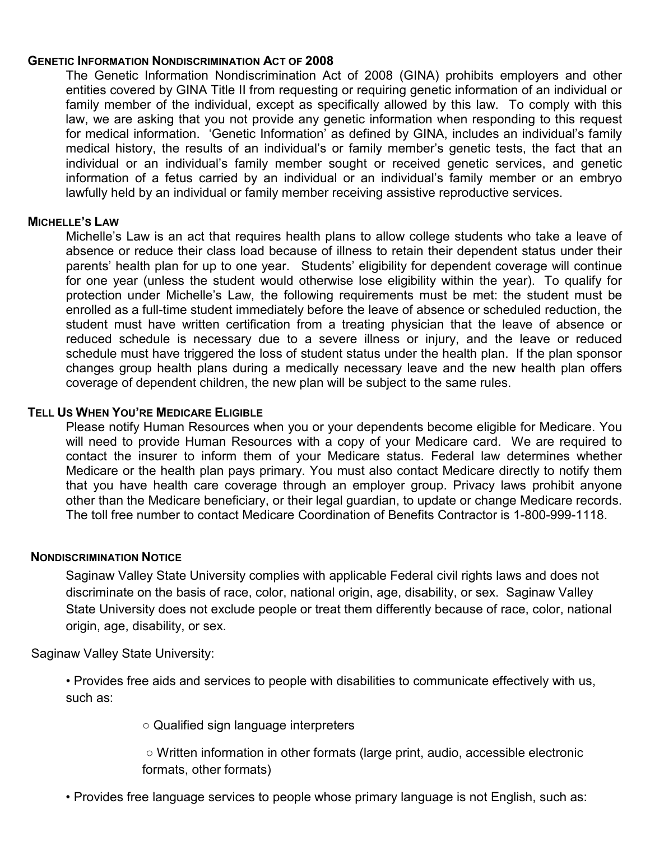#### **GENETIC INFORMATION NONDISCRIMINATION ACT OF 2008**

The Genetic Information Nondiscrimination Act of 2008 (GINA) prohibits employers and other entities covered by GINA Title II from requesting or requiring genetic information of an individual or family member of the individual, except as specifically allowed by this law. To comply with this law, we are asking that you not provide any genetic information when responding to this request for medical information. 'Genetic Information' as defined by GINA, includes an individual's family medical history, the results of an individual's or family member's genetic tests, the fact that an individual or an individual's family member sought or received genetic services, and genetic information of a fetus carried by an individual or an individual's family member or an embryo lawfully held by an individual or family member receiving assistive reproductive services.

#### **MICHELLE'S LAW**

Michelle's Law is an act that requires health plans to allow college students who take a leave of absence or reduce their class load because of illness to retain their dependent status under their parents' health plan for up to one year. Students' eligibility for dependent coverage will continue for one year (unless the student would otherwise lose eligibility within the year). To qualify for protection under Michelle's Law, the following requirements must be met: the student must be enrolled as a full-time student immediately before the leave of absence or scheduled reduction, the student must have written certification from a treating physician that the leave of absence or reduced schedule is necessary due to a severe illness or injury, and the leave or reduced schedule must have triggered the loss of student status under the health plan. If the plan sponsor changes group health plans during a medically necessary leave and the new health plan offers coverage of dependent children, the new plan will be subject to the same rules.

#### **TELL US WHEN YOU'RE MEDICARE ELIGIBLE**

Please notify Human Resources when you or your dependents become eligible for Medicare. You will need to provide Human Resources with a copy of your Medicare card. We are required to contact the insurer to inform them of your Medicare status. Federal law determines whether Medicare or the health plan pays primary. You must also contact Medicare directly to notify them that you have health care coverage through an employer group. Privacy laws prohibit anyone other than the Medicare beneficiary, or their legal guardian, to update or change Medicare records. The toll free number to contact Medicare Coordination of Benefits Contractor is 1-800-999-1118.

#### **NONDISCRIMINATION NOTICE**

Saginaw Valley State University complies with applicable Federal civil rights laws and does not discriminate on the basis of race, color, national origin, age, disability, or sex. Saginaw Valley State University does not exclude people or treat them differently because of race, color, national origin, age, disability, or sex.

Saginaw Valley State University:

• Provides free aids and services to people with disabilities to communicate effectively with us, such as:

○ Qualified sign language interpreters

○ Written information in other formats (large print, audio, accessible electronic formats, other formats)

• Provides free language services to people whose primary language is not English, such as: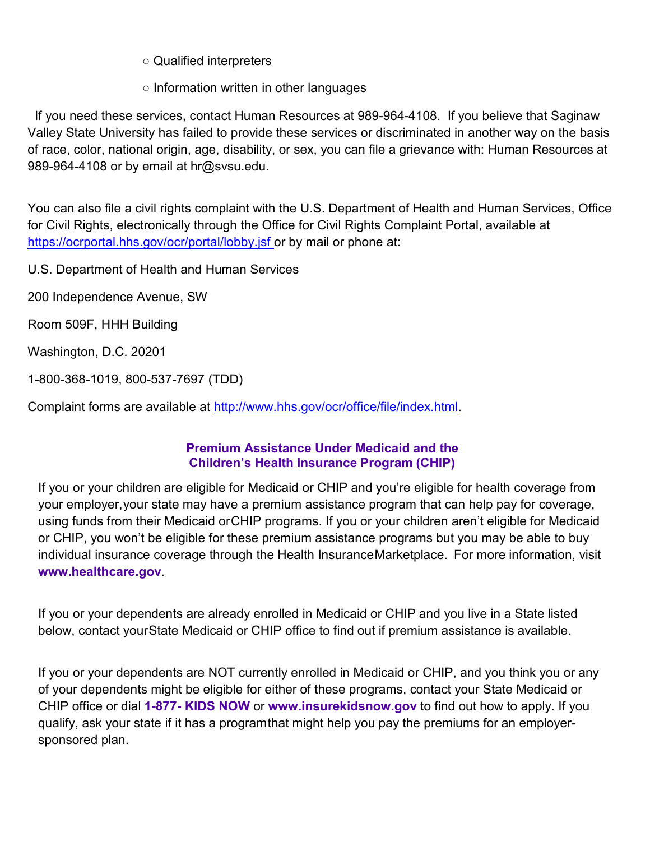○ Qualified interpreters

○ Information written in other languages

 If you need these services, contact Human Resources at 989-964-4108. If you believe that Saginaw Valley State University has failed to provide these services or discriminated in another way on the basis of race, color, national origin, age, disability, or sex, you can file a grievance with: Human Resources at 989-964-4108 or by email at hr@svsu.edu.

You can also file a civil rights complaint with the U.S. Department of Health and Human Services, Office for Civil Rights, electronically through the Office for Civil Rights Complaint Portal, available at <https://ocrportal.hhs.gov/ocr/portal/lobby.jsf> or by mail or phone at:

U.S. Department of Health and Human Services

200 Independence Avenue, SW

Room 509F, HHH Building

Washington, D.C. 20201

1-800-368-1019, 800-537-7697 (TDD)

Complaint forms are available at [http://www.hhs.gov/ocr/office/file/index.html.](http://www.hhs.gov/ocr/office/file/index.html)

### **Premium Assistance Under Medicaid and the Children's Health Insurance Program (CHIP)**

If you or your children are eligible for Medicaid or CHIP and you're eligible for health coverage from your employer,your state may have a premium assistance program that can help pay for coverage, using funds from their Medicaid orCHIP programs. If you or your children aren't eligible for Medicaid or CHIP, you won't be eligible for these premium assistance programs but you may be able to buy individual insurance coverage through the Health InsuranceMarketplace. For more information, visit **[www.healthcare.gov](http://www.healthcare.gov/)**.

If you or your dependents are already enrolled in Medicaid or CHIP and you live in a State listed below, contact yourState Medicaid or CHIP office to find out if premium assistance is available.

If you or your dependents are NOT currently enrolled in Medicaid or CHIP, and you think you or any of your dependents might be eligible for either of these programs, contact your State Medicaid or CHIP office or dial **1-877- KIDS NOW** or **[www.insurekidsnow.gov](http://www.insurekidsnow.gov/)** to find out how to apply. If you qualify, ask your state if it has a programthat might help you pay the premiums for an employersponsored plan.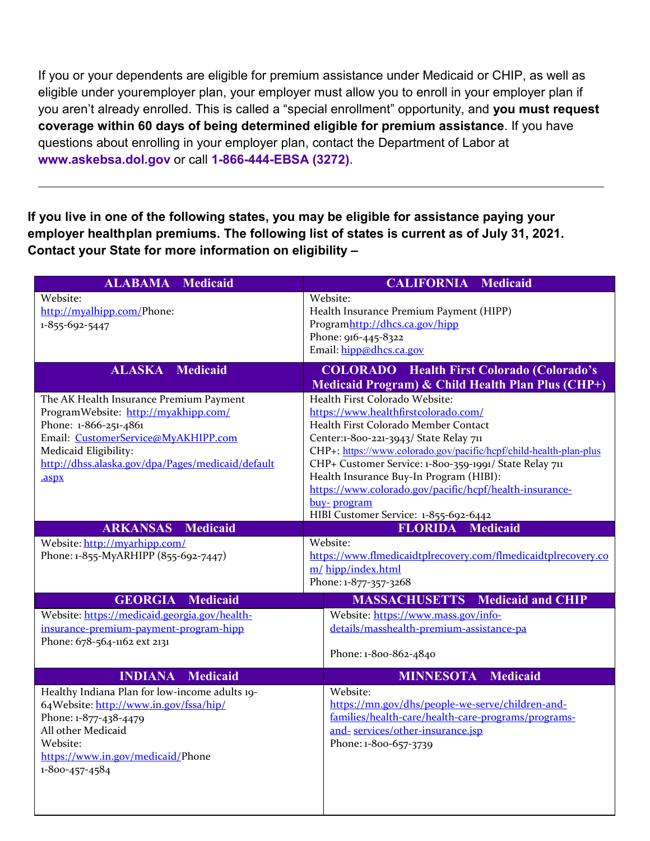If you or your dependents are eligible for premium assistance under Medicaid or CHIP, as well as eligible under youremployer plan, your employer must allow you to enroll in your employer plan if you aren't already enrolled. This is called a "special enrollment" opportunity, and **you must request coverage within 60 days of being determined eligible for premium assistance**. If you have questions about enrolling in your employer plan, contact the Department of Labor at **[www.askebsa.dol.gov](http://www.askebsa.dol.gov/)** or call **1-866-444-EBSA (3272)**.

**If you live in one of the following states, you may be eligible for assistance paying your employer healthplan premiums. The following list of states is current as of July 31, 2021. Contact your State for more information on eligibility –**

| <b>ALABAMA</b><br><b>Medicaid</b>                                                                                                                                                                                                               | <b>CALIFORNIA</b><br><b>Medicaid</b>                                                                                                                                                                                                                                                                                                                                                                                                                   |
|-------------------------------------------------------------------------------------------------------------------------------------------------------------------------------------------------------------------------------------------------|--------------------------------------------------------------------------------------------------------------------------------------------------------------------------------------------------------------------------------------------------------------------------------------------------------------------------------------------------------------------------------------------------------------------------------------------------------|
| Website:<br>http://myalhipp.com/Phone:<br>1-855-692-5447                                                                                                                                                                                        | Website:<br>Health Insurance Premium Payment (HIPP)<br>Programhttp://dhcs.ca.gov/hipp<br>Phone: 916-445-8322<br>Email: hipp@dhcs.ca.gov                                                                                                                                                                                                                                                                                                                |
| <b>ALASKA</b><br><b>Medicaid</b>                                                                                                                                                                                                                | <b>COLORADO</b> Health First Colorado (Colorado's<br>Medicaid Program) & Child Health Plan Plus (CHP+)                                                                                                                                                                                                                                                                                                                                                 |
| The AK Health Insurance Premium Payment<br>ProgramWebsite: http://myakhipp.com/<br>Phone: 1-866-251-4861<br>Email: CustomerService@MyAKHIPP.com<br>Medicaid Eligibility:<br>http://dhss.alaska.gov/dpa/Pages/medicaid/default<br>.aspx          | Health First Colorado Website:<br>https://www.healthfirstcolorado.com/<br>Health First Colorado Member Contact<br>Center:1-800-221-3943/ State Relay 711<br>CHP+: https://www.colorado.gov/pacific/hcpf/child-health-plan-plus<br>CHP+ Customer Service: 1-800-359-1991/ State Relay 711<br>Health Insurance Buy-In Program (HIBI):<br>https://www.colorado.gov/pacific/hcpf/health-insurance-<br>buy-program<br>HIBI Customer Service: 1-855-692-6442 |
| <b>ARKANSAS</b><br><b>Medicaid</b><br>Website: http://myarhipp.com/<br>Phone: 1-855-MyARHIPP (855-692-7447)                                                                                                                                     | <b>Medicaid</b><br><b>FLORIDA</b><br>Website:<br>https://www.flmedicaidtplrecovery.com/flmedicaidtplrecovery.co<br>m/ hipp/index.html<br>Phone: 1-877-357-3268                                                                                                                                                                                                                                                                                         |
| <b>GEORGIA</b><br><b>Medicaid</b><br>Website: https://medicaid.georgia.gov/health-<br>insurance-premium-payment-program-hipp<br>Phone: 678-564-1162 ext 2131                                                                                    | <b>MASSACHUSETTS</b><br><b>Medicaid and CHIP</b><br>Website: https://www.mass.gov/info-<br>details/masshealth-premium-assistance-pa<br>Phone: 1-800-862-4840                                                                                                                                                                                                                                                                                           |
| <b>Medicaid</b><br><b>INDIANA</b><br>Healthy Indiana Plan for low-income adults 19-<br>64Website: http://www.in.gov/fssa/hip/<br>Phone: 1-877-438-4479<br>All other Medicaid<br>Website:<br>https://www.in.gov/medicaid/Phone<br>1-800-457-4584 | <b>MINNESOTA</b><br><b>Medicaid</b><br>Website:<br>https://mn.gov/dhs/people-we-serve/children-and-<br>families/health-care/health-care-programs/programs-<br>and-services/other-insurance.jsp<br>Phone: 1-800-657-3739                                                                                                                                                                                                                                |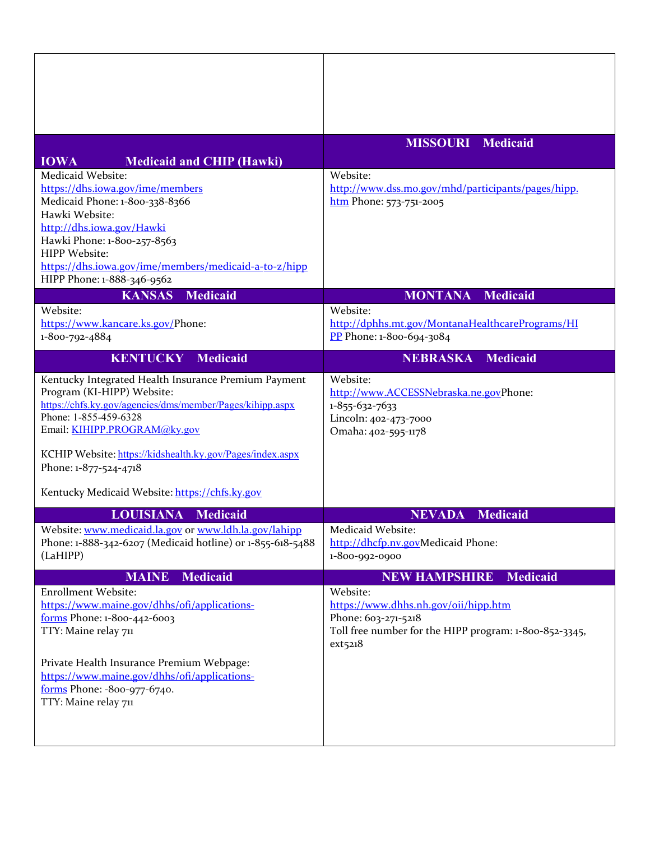|                                                                                    | <b>MISSOURI</b><br><b>Medicaid</b>                     |
|------------------------------------------------------------------------------------|--------------------------------------------------------|
| <b>IOWA</b><br><b>Medicaid and CHIP (Hawki)</b>                                    |                                                        |
| Medicaid Website:                                                                  | Website:                                               |
| https://dhs.iowa.gov/ime/members                                                   | http://www.dss.mo.gov/mhd/participants/pages/hipp.     |
| Medicaid Phone: 1-800-338-8366                                                     | $.htm$ Phone: 573-751-2005                             |
| Hawki Website:                                                                     |                                                        |
| http://dhs.iowa.gov/Hawki<br>Hawki Phone: 1-800-257-8563                           |                                                        |
| HIPP Website:                                                                      |                                                        |
| https://dhs.iowa.gov/ime/members/medicaid-a-to-z/hipp                              |                                                        |
| HIPP Phone: 1-888-346-9562                                                         |                                                        |
| <b>Medicaid</b><br><b>KANSAS</b>                                                   | <b>MONTANA</b><br><b>Medicaid</b>                      |
| Website:                                                                           | Website:                                               |
| https://www.kancare.ks.gov/Phone:                                                  | http://dphhs.mt.gov/MontanaHealthcarePrograms/HI       |
| 1-800-792-4884                                                                     | PP Phone: 1-800-694-3084                               |
| <b>KENTUCKY</b><br>Medicaid                                                        | <b>NEBRASKA</b><br><b>Medicaid</b>                     |
| Kentucky Integrated Health Insurance Premium Payment                               | Website:                                               |
| Program (KI-HIPP) Website:                                                         | http://www.ACCESSNebraska.ne.govPhone:                 |
| https://chfs.ky.gov/agencies/dms/member/Pages/kihipp.aspx<br>Phone: 1-855-459-6328 | 1-855-632-7633                                         |
| Email: KIHIPP.PROGRAM@ky.gov                                                       | Lincoln: 402-473-7000<br>Omaha: 402-595-1178           |
|                                                                                    |                                                        |
| KCHIP Website: https://kidshealth.ky.gov/Pages/index.aspx                          |                                                        |
| Phone: 1-877-524-4718                                                              |                                                        |
| Kentucky Medicaid Website: https://chfs.ky.gov                                     |                                                        |
| <b>LOUISIANA</b><br><b>Medicaid</b>                                                | <b>NEVADA</b><br><b>Medicaid</b>                       |
| Website: www.medicaid.la.gov or www.ldh.la.gov/lahipp                              | Medicaid Website:                                      |
| Phone: 1-888-342-6207 (Medicaid hotline) or 1-855-618-5488                         | http://dhcfp.nv.govMedicaid Phone:                     |
| (LaHIPP)                                                                           | 1-800-992-0900                                         |
| <b>MAINE</b><br><b>Medicaid</b>                                                    | <b>Medicaid</b><br><b>NEW HAMPSHIRE</b>                |
| <b>Enrollment Website:</b>                                                         | Website:                                               |
| https://www.maine.gov/dhhs/ofi/applications-                                       | https://www.dhhs.nh.gov/oii/hipp.htm                   |
| forms Phone: 1-800-442-6003                                                        | Phone: 603-271-5218                                    |
| TTY: Maine relay 711                                                               | Toll free number for the HIPP program: 1-800-852-3345, |
|                                                                                    | ext5218                                                |
| Private Health Insurance Premium Webpage:                                          |                                                        |
| https://www.maine.gov/dhhs/ofi/applications-                                       |                                                        |
| forms Phone: -800-977-6740.<br>TTY: Maine relay 711                                |                                                        |
|                                                                                    |                                                        |
|                                                                                    |                                                        |
|                                                                                    |                                                        |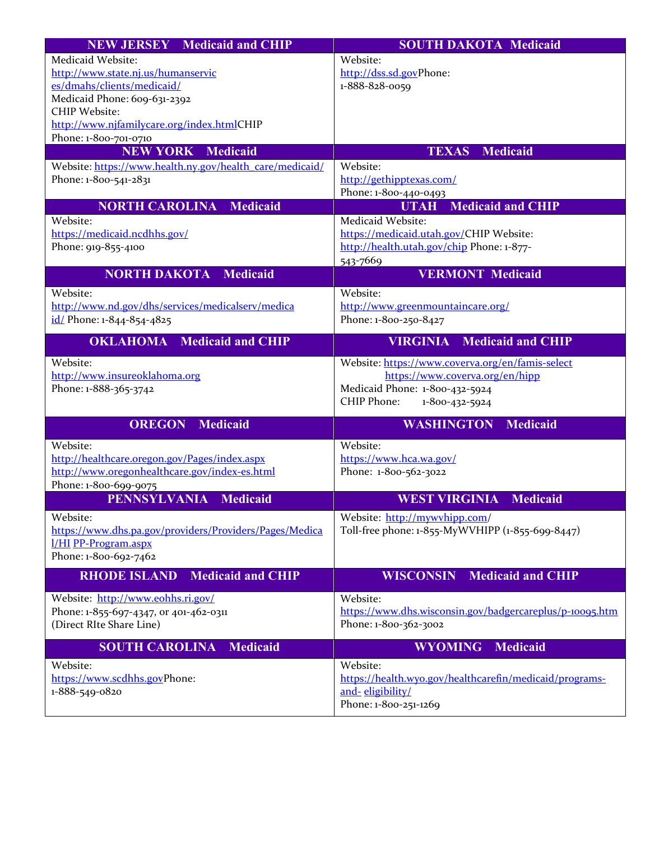| <b>NEW JERSEY</b> Medicaid and CHIP                      | <b>SOUTH DAKOTA Medicaid</b>                             |
|----------------------------------------------------------|----------------------------------------------------------|
| Medicaid Website:                                        | Website:                                                 |
| http://www.state.nj.us/humanservic                       | http://dss.sd.govPhone:                                  |
| es/dmahs/clients/medicaid/                               | 1-888-828-0059                                           |
| Medicaid Phone: 609-631-2392                             |                                                          |
| <b>CHIP Website:</b>                                     |                                                          |
| http://www.njfamilycare.org/index.htmlCHIP               |                                                          |
| Phone: 1-800-701-0710                                    |                                                          |
| <b>NEW YORK Medicaid</b>                                 | <b>TEXAS Medicaid</b>                                    |
| Website: https://www.health.ny.gov/health_care/medicaid/ | Website:                                                 |
| Phone: 1-800-541-2831                                    | http://gethipptexas.com/                                 |
|                                                          | Phone: 1-800-440-0493                                    |
| <b>NORTH CAROLINA</b><br><b>Medicaid</b>                 | <b>Medicaid and CHIP</b><br><b>UTAH</b>                  |
| Website:                                                 | Medicaid Website:                                        |
| https://medicaid.ncdhhs.gov/                             | https://medicaid.utah.gov/CHIP Website:                  |
| Phone: 919-855-4100                                      | http://health.utah.gov/chip Phone: 1-877-                |
|                                                          | 543-7669                                                 |
| <b>NORTH DAKOTA Medicaid</b>                             | <b>VERMONT Medicaid</b>                                  |
| Website:                                                 | Website:                                                 |
| http://www.nd.gov/dhs/services/medicalserv/medica        | http://www.greenmountaincare.org/                        |
| id/Phone: 1-844-854-4825                                 | Phone: 1-800-250-8427                                    |
|                                                          |                                                          |
| <b>OKLAHOMA</b> Medicaid and CHIP                        | <b>VIRGINIA</b><br><b>Medicaid and CHIP</b>              |
| Website:                                                 | Website: https://www.coverva.org/en/famis-select         |
| http://www.insureoklahoma.org                            | https://www.coverva.org/en/hipp                          |
| Phone: 1-888-365-3742                                    | Medicaid Phone: 1-800-432-5924                           |
|                                                          | CHIP Phone:<br>1-800-432-5924                            |
| <b>OREGON</b><br><b>Medicaid</b>                         | <b>WASHINGTON</b><br><b>Medicaid</b>                     |
|                                                          |                                                          |
| Website:                                                 | Website:                                                 |
| http://healthcare.oregon.gov/Pages/index.aspx            | https://www.hca.wa.gov/                                  |
| http://www.oregonhealthcare.gov/index-es.html            | Phone: 1-800-562-3022                                    |
| Phone: 1-800-699-9075                                    |                                                          |
| <b>PENNSYLVANIA</b><br><b>Medicaid</b>                   | <b>WEST VIRGINIA</b><br><b>Medicaid</b>                  |
| Website:                                                 | Website: http://mywvhipp.com/                            |
| https://www.dhs.pa.gov/providers/Providers/Pages/Medica  | Toll-free phone: 1-855-MyWVHIPP (1-855-699-8447)         |
| 1/HI PP-Program.aspx                                     |                                                          |
| Phone: 1-800-692-7462                                    |                                                          |
|                                                          |                                                          |
| <b>Medicaid and CHIP</b><br><b>RHODE ISLAND</b>          | <b>Medicaid and CHIP</b><br><b>WISCONSIN</b>             |
|                                                          |                                                          |
| Website: http://www.eohhs.ri.gov/                        | Website:                                                 |
| Phone: 1-855-697-4347, or 401-462-0311                   | https://www.dhs.wisconsin.gov/badgercareplus/p-10095.htm |
| (Direct RIte Share Line)                                 | Phone: 1-800-362-3002                                    |
| <b>SOUTH CAROLINA</b><br><b>Medicaid</b>                 | <b>WYOMING</b><br><b>Medicaid</b>                        |
| Website:                                                 | Website:                                                 |
| https://www.scdhhs.govPhone:                             | https://health.wyo.gov/healthcarefin/medicaid/programs-  |
| 1-888-549-0820                                           | and-eligibility/<br>Phone: 1-800-251-1269                |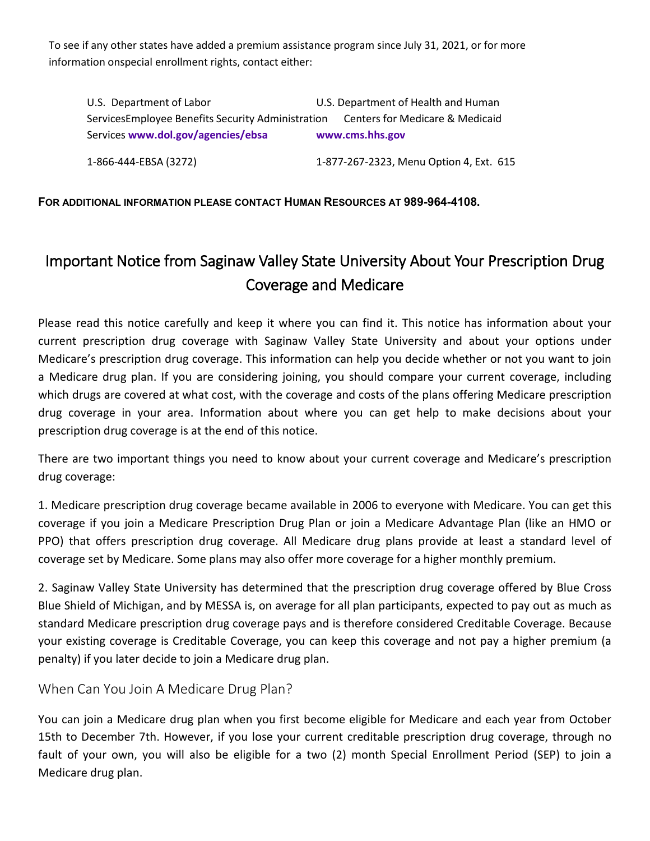To see if any other states have added a premium assistance program since July 31, 2021, or for more information onspecial enrollment rights, contact either:

U.S. Department of Labor U.S. Department of Health and Human ServicesEmployee Benefits Security Administration Centers for Medicare & Medicaid Services **[www.dol.gov/agencies/ebsa](http://www.dol.gov/agencies/ebsa) [www.cms.hhs.gov](http://www.cms.hhs.gov/)**

1-866-444-EBSA (3272) 1-877-267-2323, Menu Option 4, Ext. 615

#### **FOR ADDITIONAL INFORMATION PLEASE CONTACT HUMAN RESOURCES AT 989-964-4108.**

# Important Notice from Saginaw Valley State University About Your Prescription Drug Coverage and Medicare

Please read this notice carefully and keep it where you can find it. This notice has information about your current prescription drug coverage with Saginaw Valley State University and about your options under Medicare's prescription drug coverage. This information can help you decide whether or not you want to join a Medicare drug plan. If you are considering joining, you should compare your current coverage, including which drugs are covered at what cost, with the coverage and costs of the plans offering Medicare prescription drug coverage in your area. Information about where you can get help to make decisions about your prescription drug coverage is at the end of this notice.

There are two important things you need to know about your current coverage and Medicare's prescription drug coverage:

1. Medicare prescription drug coverage became available in 2006 to everyone with Medicare. You can get this coverage if you join a Medicare Prescription Drug Plan or join a Medicare Advantage Plan (like an HMO or PPO) that offers prescription drug coverage. All Medicare drug plans provide at least a standard level of coverage set by Medicare. Some plans may also offer more coverage for a higher monthly premium.

2. Saginaw Valley State University has determined that the prescription drug coverage offered by Blue Cross Blue Shield of Michigan, and by MESSA is, on average for all plan participants, expected to pay out as much as standard Medicare prescription drug coverage pays and is therefore considered Creditable Coverage. Because your existing coverage is Creditable Coverage, you can keep this coverage and not pay a higher premium (a penalty) if you later decide to join a Medicare drug plan.

When Can You Join A Medicare Drug Plan?

You can join a Medicare drug plan when you first become eligible for Medicare and each year from October 15th to December 7th. However, if you lose your current creditable prescription drug coverage, through no fault of your own, you will also be eligible for a two (2) month Special Enrollment Period (SEP) to join a Medicare drug plan.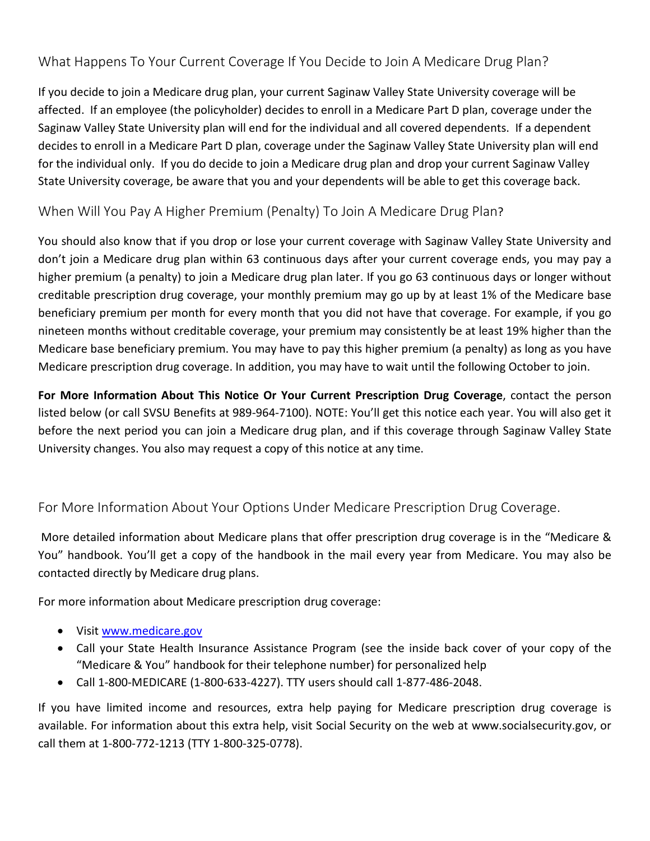# What Happens To Your Current Coverage If You Decide to Join A Medicare Drug Plan?

If you decide to join a Medicare drug plan, your current Saginaw Valley State University coverage will be affected. If an employee (the policyholder) decides to enroll in a Medicare Part D plan, coverage under the Saginaw Valley State University plan will end for the individual and all covered dependents. If a dependent decides to enroll in a Medicare Part D plan, coverage under the Saginaw Valley State University plan will end for the individual only. If you do decide to join a Medicare drug plan and drop your current Saginaw Valley State University coverage, be aware that you and your dependents will be able to get this coverage back.

## When Will You Pay A Higher Premium (Penalty) To Join A Medicare Drug Plan?

You should also know that if you drop or lose your current coverage with Saginaw Valley State University and don't join a Medicare drug plan within 63 continuous days after your current coverage ends, you may pay a higher premium (a penalty) to join a Medicare drug plan later. If you go 63 continuous days or longer without creditable prescription drug coverage, your monthly premium may go up by at least 1% of the Medicare base beneficiary premium per month for every month that you did not have that coverage. For example, if you go nineteen months without creditable coverage, your premium may consistently be at least 19% higher than the Medicare base beneficiary premium. You may have to pay this higher premium (a penalty) as long as you have Medicare prescription drug coverage. In addition, you may have to wait until the following October to join.

**For More Information About This Notice Or Your Current Prescription Drug Coverage**, contact the person listed below (or call SVSU Benefits at 989-964-7100). NOTE: You'll get this notice each year. You will also get it before the next period you can join a Medicare drug plan, and if this coverage through Saginaw Valley State University changes. You also may request a copy of this notice at any time.

# For More Information About Your Options Under Medicare Prescription Drug Coverage.

More detailed information about Medicare plans that offer prescription drug coverage is in the "Medicare & You" handbook. You'll get a copy of the handbook in the mail every year from Medicare. You may also be contacted directly by Medicare drug plans.

For more information about Medicare prescription drug coverage:

- Visi[t www.medicare.gov](http://www.medicare.gov/)
- Call your State Health Insurance Assistance Program (see the inside back cover of your copy of the "Medicare & You" handbook for their telephone number) for personalized help
- Call 1-800-MEDICARE (1-800-633-4227). TTY users should call 1-877-486-2048.

If you have limited income and resources, extra help paying for Medicare prescription drug coverage is available. For information about this extra help, visit Social Security on the web at www.socialsecurity.gov, or call them at 1-800-772-1213 (TTY 1-800-325-0778).